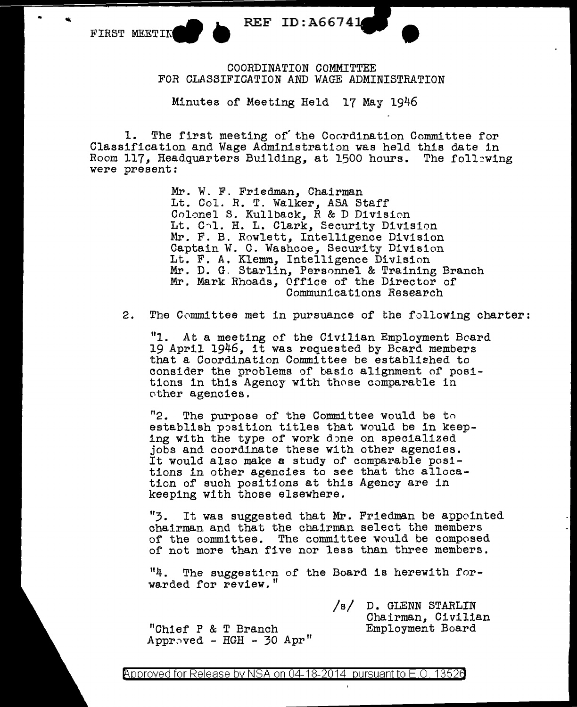FIRST MEETIN

REF ID:A66741

COORDINATION COMMITTEE FOR CLASSIFICATION AND WAGE ADMINISTRATION

Minutes of Meeting Held 17 May 1946

1. The first meeting of the Coordination Committee for Classification and Wage Administration was held this date in Room 117, Headquarters Building, at 1500 hours. The foll~wing were present:

> Mr. W. F. Friedman, Chairman Lt. Col. R. T. Walker, ASA Staff Colonel S. Kullback, R & D Division Lt. Col. H. L. Clark, Security Division Mr. F. B. Rowlett, Intelligence Division Captain W. C. Washcoe, Security Division Lt. F. A. Klemm, Intelligence Division Mr. D. G. Starlin, Personnel & Training Branch Mr. Mark Rhoads, Office of the Director of Communications Research

2. The Committee met in pursuance of the following charter:

"1. At a meeting of the Civilian Employment Board 19 April 1946, it was requested by Beard members that a Coordination Committee be established to consider the problems of basic alignment of posi- tions in this Agency with those comparable in cther agencies.

"2. The purpose of the Committee would be to establish position titles that would be in keeping with the type of work done on specialized<br>jobs and coordinate these with other agencies.<br>It would also make a study of comparable positions in other agencies to see that the allocation of such positions at this Agency are in keeping with those elsewhere.

"3. It was suggested that Mr. Friedman be appointed chairman and that the chairman select the members of the committee. The committee would be composed of not more than five nor less than three members.

"4. The suggestion of the Board is herewith forwarded for review."

"Chief P & T Branch Appr.ved - HGH - 30 Apr" /s/ D. GLENN STARLIN Chairman, Civilian Employment Board

Approved for Release by NSA on 04-18-2014 pursuant to E.O. 13526